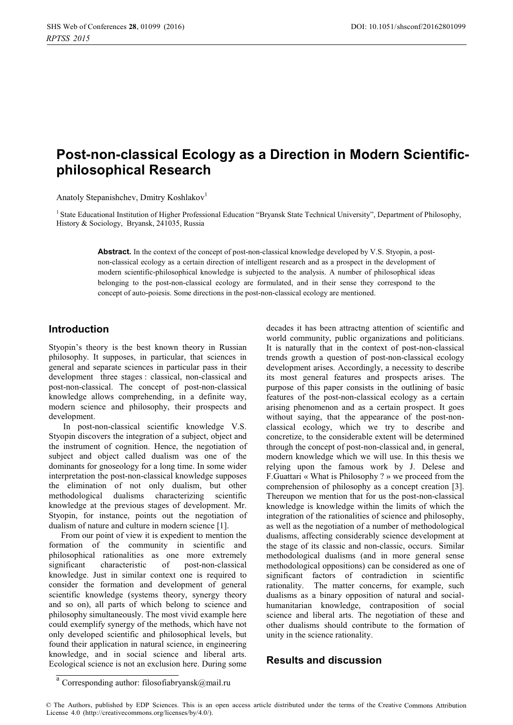# **Post-non-classical Ecology as a Direction in Modern Scientificphilosophical Research**

Anatoly Stepanishchev, Dmitry Koshlakov<sup>1</sup>

<sup>1</sup> State Educational Institution of Higher Professional Education "Bryansk State Technical University", Department of Philosophy, History & Sociology, Bryansk, 241035, Russia

> **Abstract.** In the context of the concept of post-non-classical knowledge developed by V.S. Styopin, a postnon-classical ecology as a certain direction of intelligent research and as a prospect in the development of modern scientific-philosophical knowledge is subjected to the analysis. A number of philosophical ideas belonging to the post-non-classical ecology are formulated, and in their sense they correspond to the concept of auto-poiesis. Some directions in the post-non-classical ecology are mentioned.

#### **Introduction**

Styopin's theory is the best known theory in Russian philosophy. It supposes, in particular, that sciences in general and separate sciences in particular pass in their development three stages : classical, non-classical and post-non-classical. The concept of post-non-classical knowledge allows comprehending, in a definite way, modern science and philosophy, their prospects and development.

 In post-non-classical scientific knowledge V.S. Styopin discovers the integration of a subject, object and the instrument of cognition. Hence, the negotiation of subject and object called dualism was one of the dominants for gnoseology for a long time. In some wider interpretation the post-non-classical knowledge supposes the elimination of not only dualism, but other methodological dualisms characterizing scientific knowledge at the previous stages of development. Mr. Styopin, for instance, points out the negotiation of dualism of nature and culture in modern science [1].

From our point of view it is expedient to mention the formation of the community in scientific and philosophical rationalities as one more extremely significant characteristic of post-non-classical knowledge. Just in similar context one is required to consider the formation and development of general scientific knowledge (systems theory, synergy theory and so on), all parts of which belong to science and philosophy simultaneously. The most vivid example here could exemplify synergy of the methods, which have not only developed scientific and philosophical levels, but found their application in natural science, in engineering knowledge, and in social science and liberal arts. Ecological science is not an exclusion here. During some

decades it has been attractng attention of scientific and world community, public organizations and politicians. It is naturally that in the context of post-non-classical trends growth a question of post-non-classical ecology development arises. Accordingly, a necessity to describe its most general features and prospects arises. The purpose of this paper consists in the outlining of basic features of the post-non-classical ecology as a certain arising phenomenon and as a certain prospect. It goes without saying, that the appearance of the post-nonclassical ecology, which we try to describe and concretize, to the considerable extent will be determined through the concept of post-non-classical and, in general, modern knowledge which we will use. In this thesis we relying upon the famous work by J. Delese and F.Guattari « What is Philosophy ? » we proceed from the comprehension of philosophy as a concept creation [3]. Thereupon we mention that for us the post-non-classical knowledge is knowledge within the limits of which the integration of the rationalities of science and philosophy, as well as the negotiation of a number of methodological dualisms, affecting considerably science development at the stage of its classic and non-classic, occurs. Similar methodological dualisms (and in more general sense methodological oppositions) can be considered as one of significant factors of contradiction in scientific rationality. The matter concerns, for example, such dualisms as a binary opposition of natural and socialhumanitarian knowledge, contraposition of social science and liberal arts. The negotiation of these and other dualisms should contribute to the formation of unity in the science rationality.

# **Results and discussion**

 $^{\rm a}$  Corresponding author: [filosofiabryansk@mail.ru](mailto:filosofiabryansk@mail.ru)

<sup>©</sup> The Authors, published by EDP Sciences. This is an open access article distributed under the terms of the Creative Commons Attribution License 4.0 [\(http://creativecommons.org/licenses/by/4.0/\).](http://creativecommons.org/licenses/by/4.0/)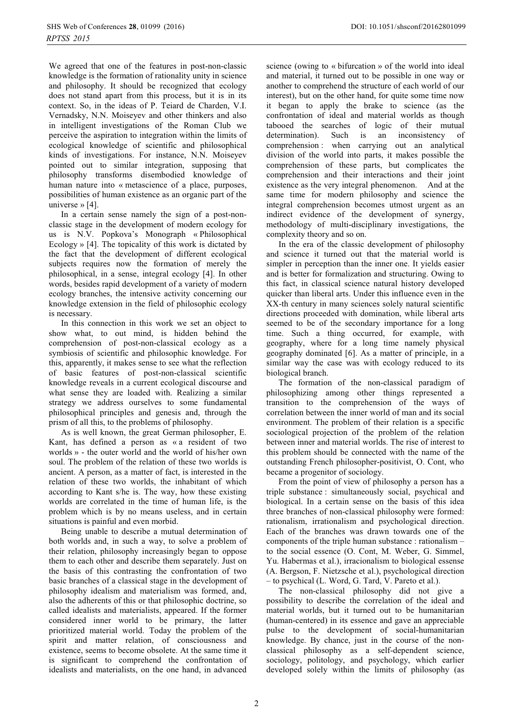We agreed that one of the features in post-non-classic knowledge is the formation of rationality unity in science and philosophy. It should be recognized that ecology does not stand apart from this process, but it is in its context. So, in the ideas of P. Teiard de Charden, V.I. Vernadsky, N.N. Moiseyev and other thinkers and also in intelligent investigations of the Roman Club we perceive the aspiration to integration within the limits of ecological knowledge of scientific and philosophical kinds of investigations. For instance, N.N. Moiseyev pointed out to similar integration, supposing that philosophy transforms disembodied knowledge of human nature into « metascience of a place, purposes, possibilities of human existence as an organic part of the universe » [4].

In a certain sense namely the sign of a post-nonclassic stage in the development of modern ecology for us is N.V. Popkova's Monograph « Philosophical Ecology » [4]. The topicality of this work is dictated by the fact that the development of different ecological subjects requires now the formation of merely the philosophical, in a sense, integral ecology [4]. In other words, besides rapid development of a variety of modern ecology branches, the intensive activity concerning our knowledge extension in the field of philosophic ecology is necessary.

In this connection in this work we set an object to show what, to out mind, is hidden behind the comprehension of post-non-classical ecology as a symbiosis of scientific and philosophic knowledge. For this, apparently, it makes sense to see what the reflection of basic features of post-non-classical scientific knowledge reveals in a current ecological discourse and what sense they are loaded with. Realizing a similar strategy we address ourselves to some fundamental philosophical principles and genesis and, through the prism of all this, to the problems of philosophy.

As is well known, the great German philosopher, E. Kant, has defined a person as « a resident of two worlds » - the outer world and the world of his/her own soul. The problem of the relation of these two worlds is ancient. A person, as a matter of fact, is interested in the relation of these two worlds, the inhabitant of which according to Kant s/he is. The way, how these existing worlds are correlated in the time of human life, is the problem which is by no means useless, and in certain situations is painful and even morbid.

Being unable to describe a mutual determination of both worlds and, in such a way, to solve a problem of their relation, philosophy increasingly began to oppose them to each other and describe them separately. Just on the basis of this contrasting the confrontation of two basic branches of a classical stage in the development of philosophy idealism and materialism was formed, and, also the adherents of this or that philosophic doctrine, so called idealists and materialists, appeared. If the former considered inner world to be primary, the latter prioritized material world. Today the problem of the spirit and matter relation, of consciousness and existence, seems to become obsolete. At the same time it is significant to comprehend the confrontation of idealists and materialists, on the one hand, in advanced

science (owing to « bifurcation » of the world into ideal and material, it turned out to be possible in one way or another to comprehend the structure of each world of our interest), but on the other hand, for quite some time now it began to apply the brake to science (as the confrontation of ideal and material worlds as though tabooed the searches of logic of their mutual determination). Such is an inconsistency of comprehension : when carrying out an analytical division of the world into parts, it makes possible the comprehension of these parts, but complicates the comprehension and their interactions and their joint existence as the very integral phenomenon. And at the same time for modern philosophy and science the integral comprehension becomes utmost urgent as an indirect evidence of the development of synergy, methodology of multi-disciplinary investigations, the complexity theory and so on.

In the era of the classic development of philosophy and science it turned out that the material world is simpler in perception than the inner one. It yields easier and is better for formalization and structuring. Owing to this fact, in classical science natural history developed quicker than liberal arts. Under this influence even in the XX-th century in many sciences solely natural scientific directions proceeded with domination, while liberal arts seemed to be of the secondary importance for a long time. Such a thing occurred, for example, with geography, where for a long time namely physical geography dominated [6]. As a matter of principle, in a similar way the case was with ecology reduced to its biological branch.

The formation of the non-classical paradigm of philosophizing among other things represented a transition to the comprehension of the ways of correlation between the inner world of man and its social environment. The problem of their relation is a specific sociological projection of the problem of the relation between inner and material worlds. The rise of interest to this problem should be connected with the name of the outstanding French philosopher-positivist, O. Cont, who became a progenitor of sociology.

From the point of view of philosophy a person has a triple substance : simultaneously social, psychical and biological. In a certain sense on the basis of this idea three branches of non-classical philosophy were formed: rationalism, irrationalism and psychological direction. Each of the branches was drawn towards one of the components of the triple human substance : rationalism – to the social essence (O. Cont, M. Weber, G. Simmel, Yu. Habermas et al.), irracionalism to biological essense (A. Bergson, F. Nietzsche et al.), psychological direction – to psychical (L. Word, G. Tard, V. Pareto et al.).

The non-classical philosophy did not give a possibility to describe the correlation of the ideal and material worlds, but it turned out to be humanitarian (human-centered) in its essence and gave an appreciable pulse to the development of social-humanitarian knowledge. By chance, just in the course of the nonclassical philosophy as a self-dependent science, sociology, politology, and psychology, which earlier developed solely within the limits of philosophy (as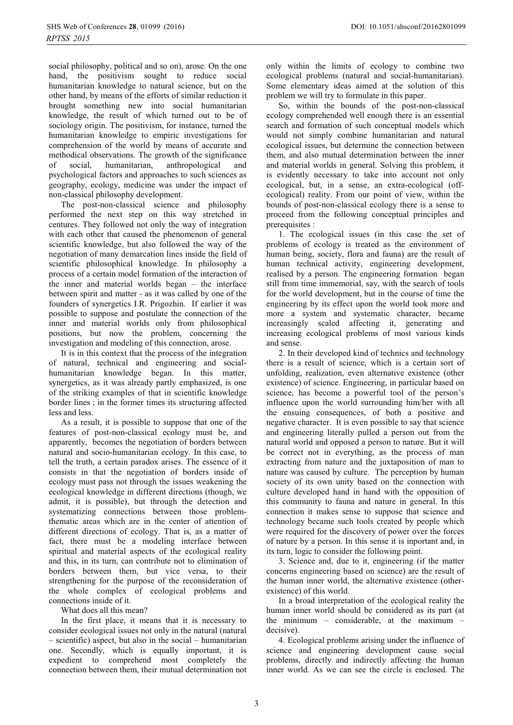social philosophy, political and so on), arose. On the one hand, the positivism sought to reduce social humanitarian knowledge to natural science, but on the other hand, by means of the efforts of similar reduction it brought something new into social humanitarian knowledge, the result of which turned out to be of sociology origin. The positivism, for instance, turned the humanitarian knowledge to empiric investigations for comprehension of the world by means of accurate and methodical observations. The growth of the significance<br>of social, humanitarian, anthropological and of social, humanitarian, anthropological and psychological factors and approaches to such sciences as geography, ecology, medicine was under the impact of non-classical philosophy development.

The post-non-classical science and philosophy performed the next step on this way stretched in centures. They followed not only the way of integration with each other that caused the phenomenon of general scientific knowledge, but also followed the way of the negotiation of many demarcation lines inside the field of scientific philosophical knowledge. In philosophy a process of a certain model formation of the interaction of the inner and material worlds began – the interface between spirit and matter - as it was called by one of the founders of synergetics I.R. Prigozhin. If earlier it was possible to suppose and postulate the connection of the inner and material worlds only from philosophical positions, but now the problem, concerning the investigation and modeling of this connection, arose.

It is in this context that the process of the integration of natural, technical and engineering and socialhumanitarian knowledge began. In this matter, synergetics, as it was already partly emphasized, is one of the striking examples of that in scientific knowledge border lines ; in the former times its structuring affected less and less.

As a result, it is possible to suppose that one of the features of post-non-classical ecology must be, and apparently, becomes the negotiation of borders between natural and socio-humanitarian ecology. In this case, to tell the truth, a certain paradox arises. The essence of it consists in that the negotiation of borders inside of ecology must pass not through the issues weakening the ecological knowledge in different directions (though, we admit, it is possible), but through the detection and systematizing connections between those problemthematic areas which are in the center of attention of different directions of ecology. That is, as a matter of fact, there must be a modeling interface between spiritual and material aspects of the ecological reality and this, in its turn, can contribute not to elimination of borders between them, but vice versa, to their strengthening for the purpose of the reconsideration of the whole complex of ecological problems and connections inside of it.

What does all this mean?

In the first place, it means that it is necessary to consider ecological issues not only in the natural (natural – scientific) aspect, but also in the social – humanitarian one. Secondly, which is equally important, it is expedient to comprehend most completely the connection between them, their mutual determination not

only within the limits of ecology to combine two ecological problems (natural and social-humanitarian). Some elementary ideas aimed at the solution of this problem we will try to formulate in this paper.

So, within the bounds of the post-non-classical ecology comprehended well enough there is an essential search and formation of such conceptual models which would not simply combine humanitarian and natural ecological issues, but determine the connection between them, and also mutual determination between the inner and material worlds in general. Solving this problem, it is evidently necessary to take into account not only ecological, but, in a sense, an extra-ecological (offecological) reality. From our point of view, within the bounds of post-non-classical ecology there is a sense to proceed from the following conceptual principles and prerequisites :

1. The ecological issues (in this case the set of problems of ecology is treated as the environment of human being, society, flora and fauna) are the result of human technical activity, engineering development, realised by a person. The engineering formation began still from time immemorial, say, with the search of tools for the world development, but in the course of time the engineering by its effect upon the world took more and more a system and systematic character, became increasingly scaled affecting it, generating and increasing ecological problems of most various kinds and sense.

2. In their developed kind of technics and technology there is a result of science, which is a certain sort of unfolding, realization, even alternative existence (other existence) of science. Engineering, in particular based on science, has become a powerful tool of the person's influence upon the world surrounding him/her with all the ensuing consequences, of both a positive and negative character. It is even possible to say that science and engineering literally pulled a person out from the natural world and opposed a person to nature. But it will be correct not in everything, as the process of man extracting from nature and the juxtaposition of man to nature was caused by culture. The perception by human society of its own unity based on the connection with culture developed hand in hand with the opposition of this community to fauna and nature in general. In this connection it makes sense to suppose that science and technology became such tools created by people which were required for the discovery of power over the forces of nature by a person. In this sense it is inportant and, in its turn, logic to consider the following point.

3. Science and, due to it, engineering (if the matter concerns engineering based on science) are the result of the human inner world, the alternative existence (otherexistence) of this world.

In a broad interpretation of the ecological reality the human inner world should be considered as its part (at the minimum – considerable, at the maximum – decisive).

4. Ecological problems arising under the influence of science and engineering development cause social problems, directly and indirectly affecting the human inner world. As we can see the circle is enclosed. The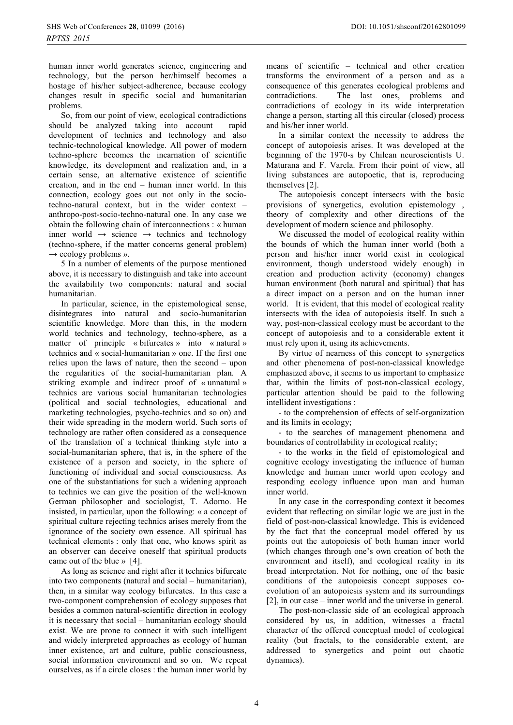human inner world generates science, engineering and technology, but the person her/himself becomes a hostage of his/her subject-adherence, because ecology changes result in specific social and humanitarian problems.

So, from our point of view, ecological contradictions should be analyzed taking into account rapid development of technics and technology and also technic-technological knowledge. All power of modern techno-sphere becomes the incarnation of scientific knowledge, its development and realization and, in a certain sense, an alternative existence of scientific creation, and in the end – human inner world. In this connection, ecology goes out not only in the sociotechno-natural context, but in the wider context – anthropo-post-socio-techno-natural one. In any case we obtain the following chain of interconnections : « human inner world  $\rightarrow$  science  $\rightarrow$  technics and technology (techno-sphere, if the matter concerns general problem)  $\rightarrow$  ecology problems ».

5 In a number of elements of the purpose mentioned above, it is necessary to distinguish and take into account the availability two components: natural and social humanitarian.

In particular, science, in the epistemological sense, disintegrates into natural and socio-humanitarian scientific knowledge. More than this, in the modern world technics and technology, techno-sphere, as a matter of principle « bifurcates » into « natural » technics and « social-humanitarian » one. If the first one relies upon the laws of nature, then the second – upon the regularities of the social-humanitarian plan. A striking example and indirect proof of « unnatural » technics are various social humanitarian technologies (political and social technologies, educational and marketing technologies, psycho-technics and so on) and their wide spreading in the modern world. Such sorts of technology are rather often considered as a consequence of the translation of a technical thinking style into a social-humanitarian sphere, that is, in the sphere of the existence of a person and society, in the sphere of functioning of individual and social consciousness. As one of the substantiations for such a widening approach to technics we can give the position of the well-known German philosopher and sociologist, T. Adorno. He insisted, in particular, upon the following: « a concept of spiritual culture rejecting technics arises merely from the ignorance of the society own essence. All spiritual has technical elements : only that one, who knows spirit as an observer can deceive oneself that spiritual products came out of the blue » [4].

As long as science and right after it technics bifurcate into two components (natural and social – humanitarian), then, in a similar way ecology bifurcates. In this case a two-component comprehension of ecology supposes that besides a common natural-scientific direction in ecology it is necessary that social – humanitarian ecology should exist. We are prone to connect it with such intelligent and widely interpreted approaches as ecology of human inner existence, art and culture, public consciousness, social information environment and so on. We repeat ourselves, as if a circle closes : the human inner world by

means of scientific – technical and other creation transforms the environment of a person and as a consequence of this generates ecological problems and contradictions. The last ones, problems and contradictions of ecology in its wide interpretation change a person, starting all this circular (closed) process and his/her inner world.

In a similar context the necessity to address the concept of autopoiesis arises. It was developed at the beginning of the 1970-s by Chilean neuroscientists U. Maturana and F. Varela. From their point of view, all living substances are autopoetic, that is, reproducing themselves [2].

The autopoiesis concept intersects with the basic provisions of synergetics, evolution epistemology , theory of complexity and other directions of the development of modern science and philosophy.

We discussed the model of ecological reality within the bounds of which the human inner world (both a person and his/her inner world exist in ecological environment, though understood widely enough) in creation and production activity (economy) changes human environment (both natural and spiritual) that has a direct impact on a person and on the human inner world. It is evident, that this model of ecological reality intersects with the idea of autopoiesis itself. In such a way, post-non-classical ecology must be accordant to the concept of autopoiesis and to a considerable extent it must rely upon it, using its achievements.

By virtue of nearness of this concept to synergetics and other phenomena of post-non-classical knowledge emphasized above, it seems to us important to emphasize that, within the limits of post-non-classical ecology, particular attention should be paid to the following intellident investigations :

- to the comprehension of effects of self-organization and its limits in ecology;

- to the searches of management phenomena and boundaries of controllability in ecological reality;

- to the works in the field of epistomological and cognitive ecology investigating the influence of human knowledge and human inner world upon ecology and responding ecology influence upon man and human inner world.

In any case in the corresponding context it becomes evident that reflecting on similar logic we are just in the field of post-non-classical knowledge. This is evidenced by the fact that the conceptual model offered by us points out the autopoiesis of both human inner world (which changes through one's own creation of both the environment and itself), and ecological reality in its broad interpretation. Not for nothing, one of the basic conditions of the autopoiesis concept supposes coevolution of an autopoiesis system and its surroundings [2], in our case – inner world and the universe in general.

The post-non-classic side of an ecological approach considered by us, in addition, witnesses a fractal character of the offered conceptual model of ecological reality (but fractals, to the considerable extent, are addressed to synergetics and point out chaotic dynamics).